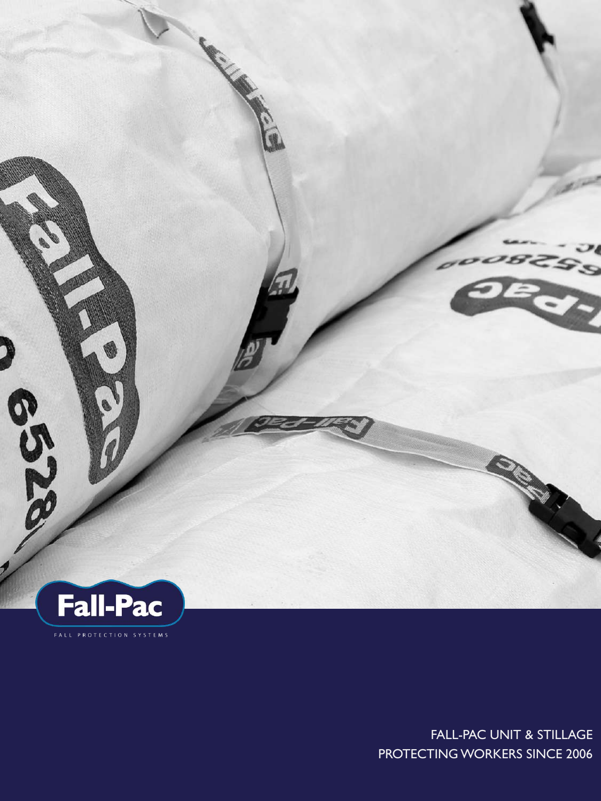

FALL-PAC UNIT & STILLAGE PROTECTING WORKERS SINCE 2006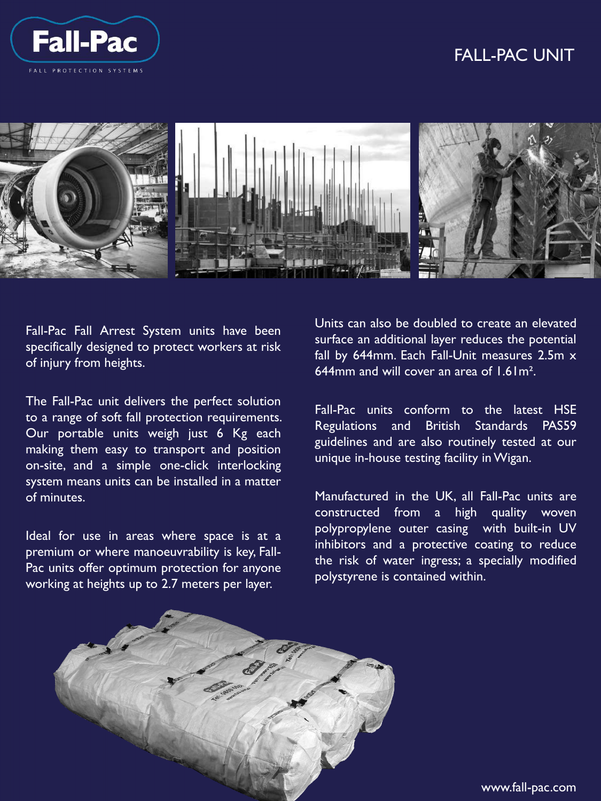

# **FALL-PAC UNIT** FALL-PAC UNIT



Fall-Pac Fall Arrest System units have been specifically designed to protect workers at risk of injury from heights.

The Fall-Pac unit delivers the perfect solution to a range of soft fall protection requirements. Our portable units weigh just 6 Kg each making them easy to transport and position on-site, and a simple one-click interlocking system means units can be installed in a matter of minutes.

Ideal for use in areas where space is at a premium or where manoeuvrability is key, Fall-Pac units offer optimum protection for anyone working at heights up to 2.7 meters per layer.

Units can also be doubled to create an elevated surface an additional layer reduces the potential fall by 644mm. Each Fall-Unit measures 2.5m x 644mm and will cover an area of 1.61m².

Fall-Pac units conform to the latest HSE Regulations and British Standards PAS59 guidelines and are also routinely tested at our unique in-house testing facility inWigan.

Manufactured in the UK, all Fall-Pac units are constructed from a high quality woven polypropylene outer casing with built-in UV inhibitors and a protective coating to reduce the risk of water ingress; a specially modified polystyrene is contained within.



www.fall-pac.com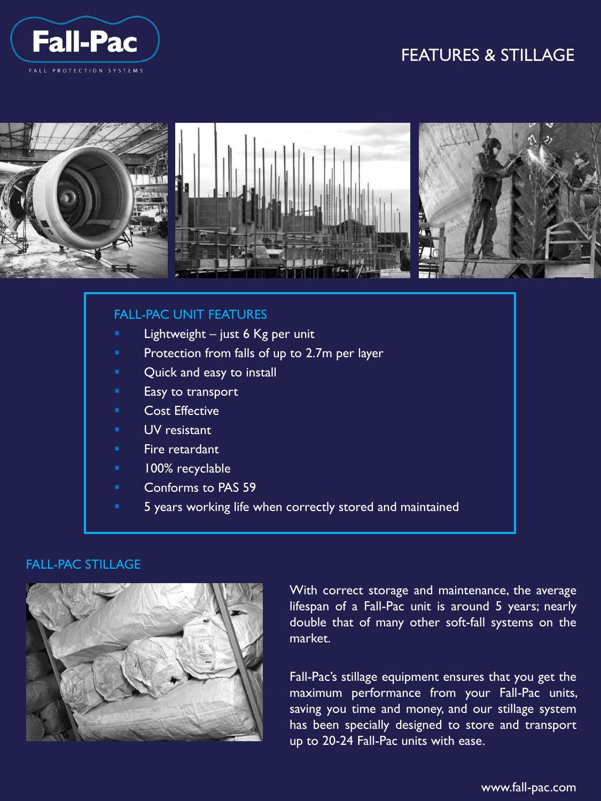

# **FALL-PAC UNIT** FEATURES & STILLAGE



### FALL-PAC UNIT FEATURES

- Lightweight  $-$  just 6 Kg per unit
- Protection from falls of up to 2.7m per layer
- Quick and easy to install
- Easy to transport
- Cost Effective
- UV resistant
- Fire retardant
- 100% recyclable
- Conforms to PAS 59
- 5 years working life when correctly stored and maintained

#### FALL-PAC STILLAGE



With correct storage and maintenance, the average lifespan of a Fall-Pac unit is around 5 years; nearly double that of many other soft-fall systems on the market.

Fall-Pac's stillage equipment ensures that you get the maximum performance from your Fall-Pac units, saving you time and money, and our stillage system has been specially designed to store and transport up to 20-24 Fall-Pac units with ease.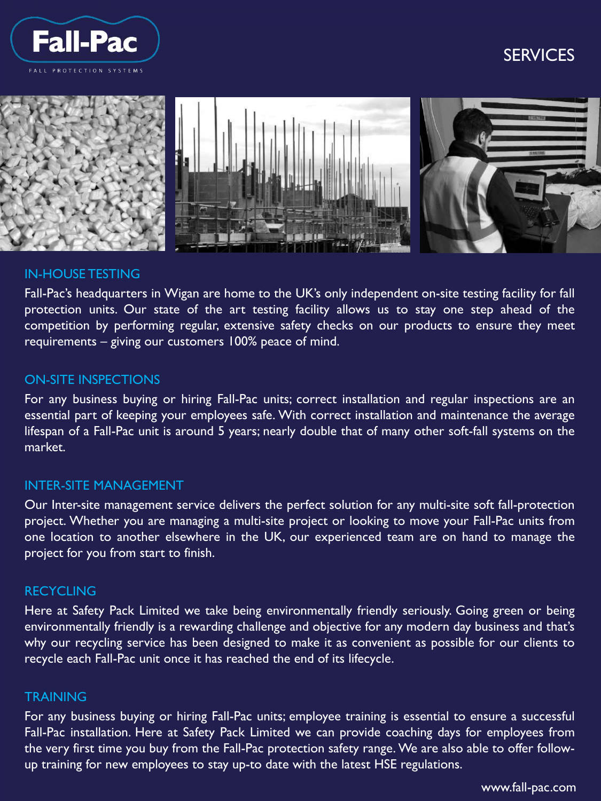

# **FALL-PAC UNIT** SERVICES



### IN-HOUSE TESTING

Fall-Pac's headquarters in Wigan are home to the UK's only independent on-site testing facility for fall protection units. Our state of the art testing facility allows us to stay one step ahead of the competition by performing regular, extensive safety checks on our products to ensure they meet requirements – giving our customers 100% peace of mind.

### ON-SITE INSPECTIONS

For any business buying or hiring Fall-Pac units; correct installation and regular inspections are an essential part of keeping your employees safe. With correct installation and maintenance the average lifespan of a Fall-Pac unit is around 5 years; nearly double that of many other soft-fall systems on the market.

### INTER-SITE MANAGEMENT

Our Inter-site management service delivers the perfect solution for any multi-site soft fall-protection project. Whether you are managing a multi-site project or looking to move your Fall-Pac units from one location to another elsewhere in the UK, our experienced team are on hand to manage the project for you from start to finish.

### RECYCLING

Here at Safety Pack Limited we take being environmentally friendly seriously. Going green or being environmentally friendly is a rewarding challenge and objective for any modern day business and that's why our recycling service has been designed to make it as convenient as possible for our clients to recycle each Fall-Pac unit once it has reached the end of its lifecycle.

#### **TRAINING**

up training for new employees to stay up-to date with the latest HSE regulations. For any business buying or hiring Fall-Pac units; employee training is essential to ensure a successful Fall-Pac installation. Here at Safety Pack Limited we can provide coaching days for employees from the very first time you buy from the Fall-Pac protection safety range. We are also able to offer follow-